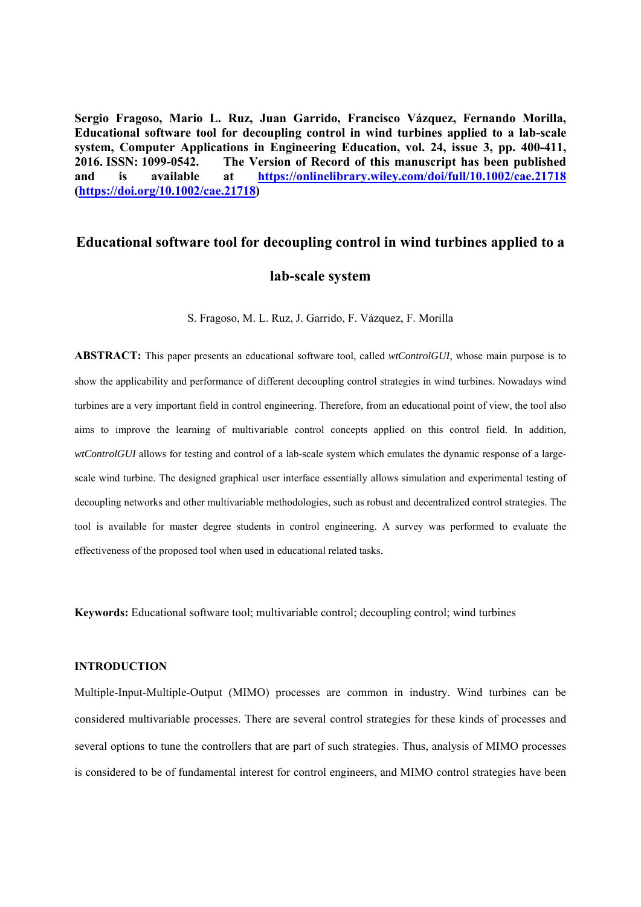**Sergio Fragoso, Mario L. Ruz, Juan Garrido, Francisco Vázquez, Fernando Morilla, Educational software tool for decoupling control in wind turbines applied to a lab‐scale system, Computer Applications in Engineering Education, vol. 24, issue 3, pp. 400-411, 2016. ISSN: 1099-0542. The Version of Record of this manuscript has been published and is available at https://onlinelibrary.wiley.com/doi/full/10.1002/cae.21718 (https://doi.org/10.1002/cae.21718)** 

# **Educational software tool for decoupling control in wind turbines applied to a**

# **lab-scale system**

S. Fragoso, M. L. Ruz, J. Garrido, F. Vázquez, F. Morilla

**ABSTRACT:** This paper presents an educational software tool, called *wtControlGUI*, whose main purpose is to show the applicability and performance of different decoupling control strategies in wind turbines. Nowadays wind turbines are a very important field in control engineering. Therefore, from an educational point of view, the tool also aims to improve the learning of multivariable control concepts applied on this control field. In addition, *wtControlGUI* allows for testing and control of a lab-scale system which emulates the dynamic response of a largescale wind turbine. The designed graphical user interface essentially allows simulation and experimental testing of decoupling networks and other multivariable methodologies, such as robust and decentralized control strategies. The tool is available for master degree students in control engineering. A survey was performed to evaluate the effectiveness of the proposed tool when used in educational related tasks.

**Keywords:** Educational software tool; multivariable control; decoupling control; wind turbines

# **INTRODUCTION**

Multiple-Input-Multiple-Output (MIMO) processes are common in industry. Wind turbines can be considered multivariable processes. There are several control strategies for these kinds of processes and several options to tune the controllers that are part of such strategies. Thus, analysis of MIMO processes is considered to be of fundamental interest for control engineers, and MIMO control strategies have been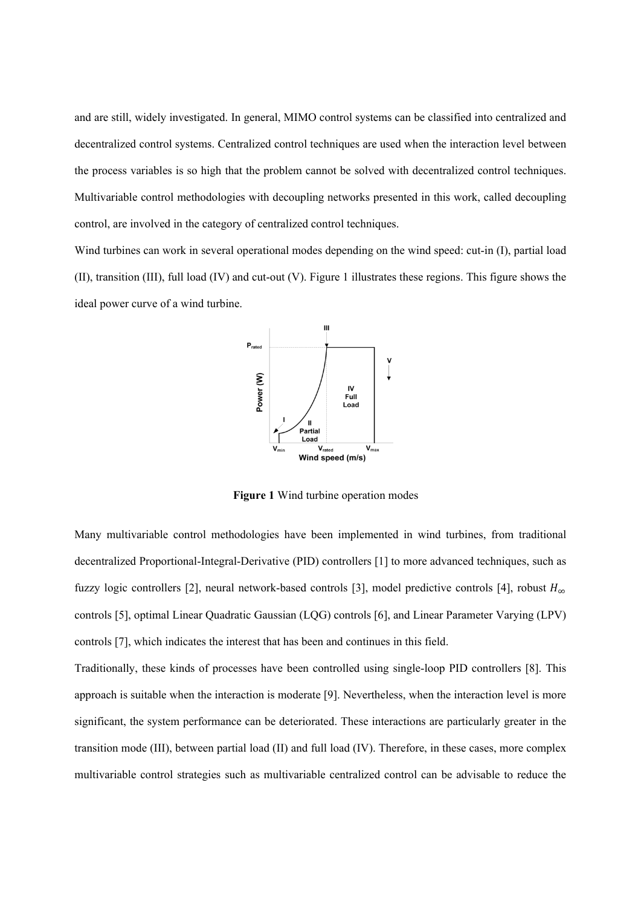and are still, widely investigated. In general, MIMO control systems can be classified into centralized and decentralized control systems. Centralized control techniques are used when the interaction level between the process variables is so high that the problem cannot be solved with decentralized control techniques. Multivariable control methodologies with decoupling networks presented in this work, called decoupling control, are involved in the category of centralized control techniques.

Wind turbines can work in several operational modes depending on the wind speed: cut-in (I), partial load (II), transition (III), full load (IV) and cut-out (V). Figure 1 illustrates these regions. This figure shows the ideal power curve of a wind turbine.



**Figure 1** Wind turbine operation modes

Many multivariable control methodologies have been implemented in wind turbines, from traditional decentralized Proportional-Integral-Derivative (PID) controllers [1] to more advanced techniques, such as fuzzy logic controllers [2], neural network-based controls [3], model predictive controls [4], robust  $H_{\infty}$ controls [5], optimal Linear Quadratic Gaussian (LQG) controls [6], and Linear Parameter Varying (LPV) controls [7], which indicates the interest that has been and continues in this field.

Traditionally, these kinds of processes have been controlled using single-loop PID controllers [8]. This approach is suitable when the interaction is moderate [9]. Nevertheless, when the interaction level is more significant, the system performance can be deteriorated. These interactions are particularly greater in the transition mode (III), between partial load (II) and full load (IV). Therefore, in these cases, more complex multivariable control strategies such as multivariable centralized control can be advisable to reduce the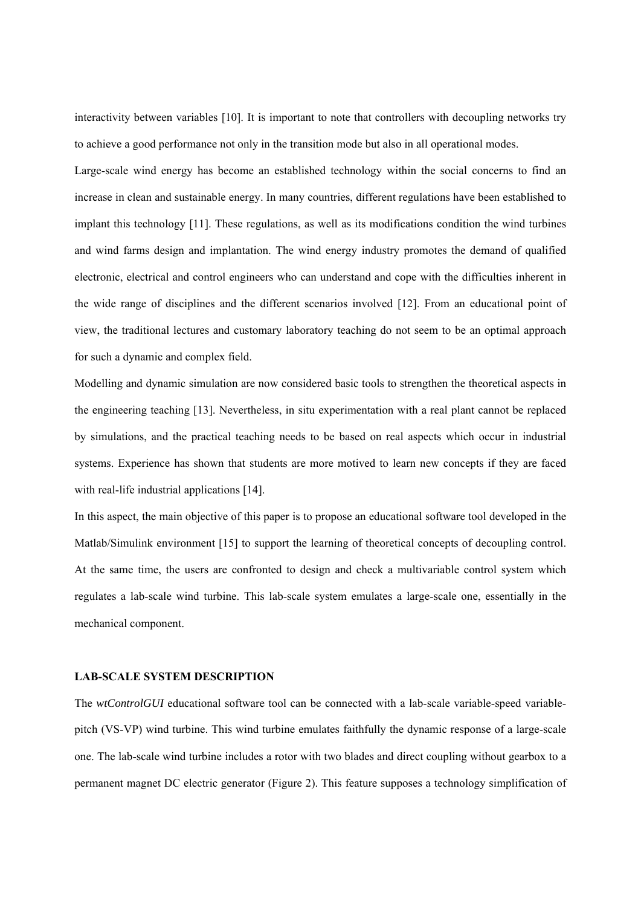interactivity between variables [10]. It is important to note that controllers with decoupling networks try to achieve a good performance not only in the transition mode but also in all operational modes.

Large-scale wind energy has become an established technology within the social concerns to find an increase in clean and sustainable energy. In many countries, different regulations have been established to implant this technology [11]. These regulations, as well as its modifications condition the wind turbines and wind farms design and implantation. The wind energy industry promotes the demand of qualified electronic, electrical and control engineers who can understand and cope with the difficulties inherent in the wide range of disciplines and the different scenarios involved [12]. From an educational point of view, the traditional lectures and customary laboratory teaching do not seem to be an optimal approach for such a dynamic and complex field.

Modelling and dynamic simulation are now considered basic tools to strengthen the theoretical aspects in the engineering teaching [13]. Nevertheless, in situ experimentation with a real plant cannot be replaced by simulations, and the practical teaching needs to be based on real aspects which occur in industrial systems. Experience has shown that students are more motived to learn new concepts if they are faced with real-life industrial applications [14].

In this aspect, the main objective of this paper is to propose an educational software tool developed in the Matlab/Simulink environment [15] to support the learning of theoretical concepts of decoupling control. At the same time, the users are confronted to design and check a multivariable control system which regulates a lab-scale wind turbine. This lab-scale system emulates a large-scale one, essentially in the mechanical component.

#### **LAB-SCALE SYSTEM DESCRIPTION**

The *wtControlGUI* educational software tool can be connected with a lab-scale variable-speed variablepitch (VS-VP) wind turbine. This wind turbine emulates faithfully the dynamic response of a large-scale one. The lab-scale wind turbine includes a rotor with two blades and direct coupling without gearbox to a permanent magnet DC electric generator (Figure 2). This feature supposes a technology simplification of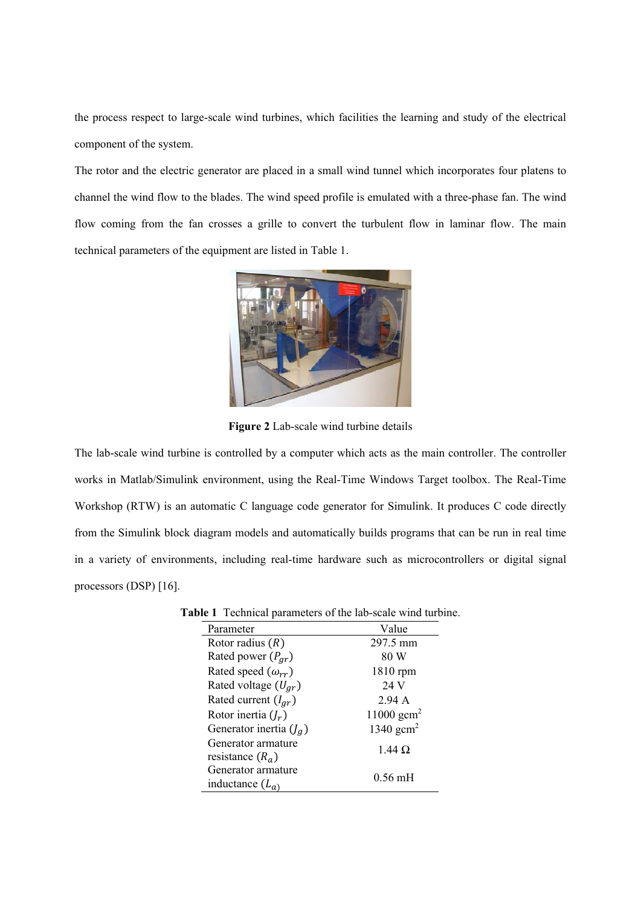the process respect to large-scale wind turbines, which facilities the learning and study of the electrical component of the system.

The rotor and the electric generator are placed in a small wind tunnel which incorporates four platens to channel the wind flow to the blades. The wind speed profile is emulated with a three-phase fan. The wind flow coming from the fan crosses a grille to convert the turbulent flow in laminar flow. The main technical parameters of the equipment are listed in Table 1.



**Figure 2** Lab-scale wind turbine details

The lab-scale wind turbine is controlled by a computer which acts as the main controller. The controller works in Matlab/Simulink environment, using the Real-Time Windows Target toolbox. The Real-Time Workshop (RTW) is an automatic C language code generator for Simulink. It produces C code directly from the Simulink block diagram models and automatically builds programs that can be run in real time in a variety of environments, including real-time hardware such as microcontrollers or digital signal processors (DSP) [16].

| Parameter                   | Value                |
|-----------------------------|----------------------|
| Rotor radius $(R)$          | 297.5 mm             |
| Rated power $(P_{qr})$      | 80 W                 |
| Rated speed $(\omega_{rr})$ | 1810 rpm             |
| Rated voltage $(U_{ar})$    | 24 V                 |
| Rated current $(I_{ar})$    | 2.94A                |
| Rotor inertia $(I_r)$       | 11000 $\text{gcm}^2$ |
| Generator inertia $(J_q)$   | 1340 $\text{gcm}^2$  |
| Generator armature          | $1.44 \Omega$        |
| resistance $(R_a)$          |                      |
| Generator armature          | $0.56 \text{ mH}$    |
| inductance $(L_a)$          |                      |

**Table 1** Technical parameters of the lab-scale wind turbine.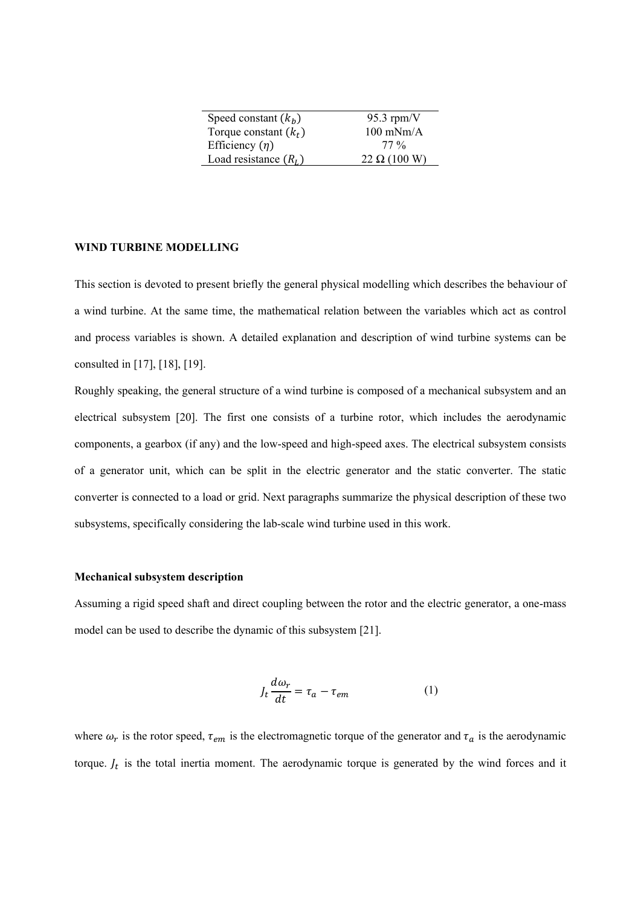| Speed constant $(k_h)$  | 95.3 rpm/ $V$       |
|-------------------------|---------------------|
| Torque constant $(k_t)$ | $100$ mNm/A         |
| Efficiency $(\eta)$     | $77\%$              |
| Load resistance $(R_L)$ | $22 \Omega (100 W)$ |

# **WIND TURBINE MODELLING**

This section is devoted to present briefly the general physical modelling which describes the behaviour of a wind turbine. At the same time, the mathematical relation between the variables which act as control and process variables is shown. A detailed explanation and description of wind turbine systems can be consulted in [17], [18], [19].

Roughly speaking, the general structure of a wind turbine is composed of a mechanical subsystem and an electrical subsystem [20]. The first one consists of a turbine rotor, which includes the aerodynamic components, a gearbox (if any) and the low-speed and high-speed axes. The electrical subsystem consists of a generator unit, which can be split in the electric generator and the static converter. The static converter is connected to a load or grid. Next paragraphs summarize the physical description of these two subsystems, specifically considering the lab-scale wind turbine used in this work.

#### **Mechanical subsystem description**

Assuming a rigid speed shaft and direct coupling between the rotor and the electric generator, a one-mass model can be used to describe the dynamic of this subsystem [21].

$$
J_t \frac{d\omega_r}{dt} = \tau_a - \tau_{em} \tag{1}
$$

where  $\omega_r$  is the rotor speed,  $\tau_{em}$  is the electromagnetic torque of the generator and  $\tau_a$  is the aerodynamic torque.  $J_t$  is the total inertia moment. The aerodynamic torque is generated by the wind forces and it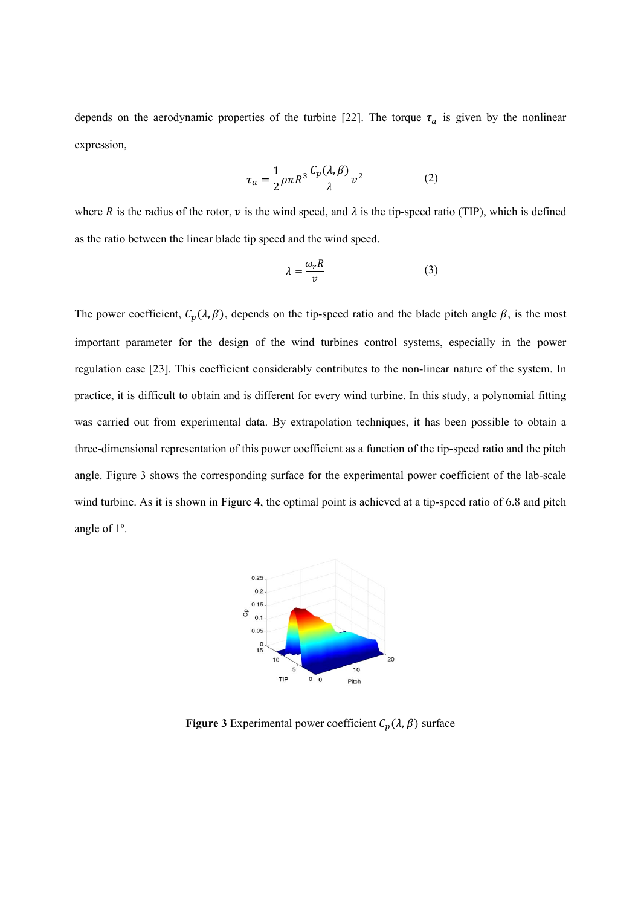depends on the aerodynamic properties of the turbine [22]. The torque  $\tau_a$  is given by the nonlinear expression,

$$
\tau_a = \frac{1}{2} \rho \pi R^3 \frac{C_p(\lambda, \beta)}{\lambda} v^2 \tag{2}
$$

where R is the radius of the rotor, v is the wind speed, and  $\lambda$  is the tip-speed ratio (TIP), which is defined as the ratio between the linear blade tip speed and the wind speed.

$$
\lambda = \frac{\omega_r R}{v} \tag{3}
$$

The power coefficient,  $C_p(\lambda, \beta)$ , depends on the tip-speed ratio and the blade pitch angle  $\beta$ , is the most important parameter for the design of the wind turbines control systems, especially in the power regulation case [23]. This coefficient considerably contributes to the non-linear nature of the system. In practice, it is difficult to obtain and is different for every wind turbine. In this study, a polynomial fitting was carried out from experimental data. By extrapolation techniques, it has been possible to obtain a three-dimensional representation of this power coefficient as a function of the tip-speed ratio and the pitch angle. Figure 3 shows the corresponding surface for the experimental power coefficient of the lab-scale wind turbine. As it is shown in Figure 4, the optimal point is achieved at a tip-speed ratio of 6.8 and pitch angle of 1º.



**Figure 3** Experimental power coefficient  $C_p(\lambda, \beta)$  surface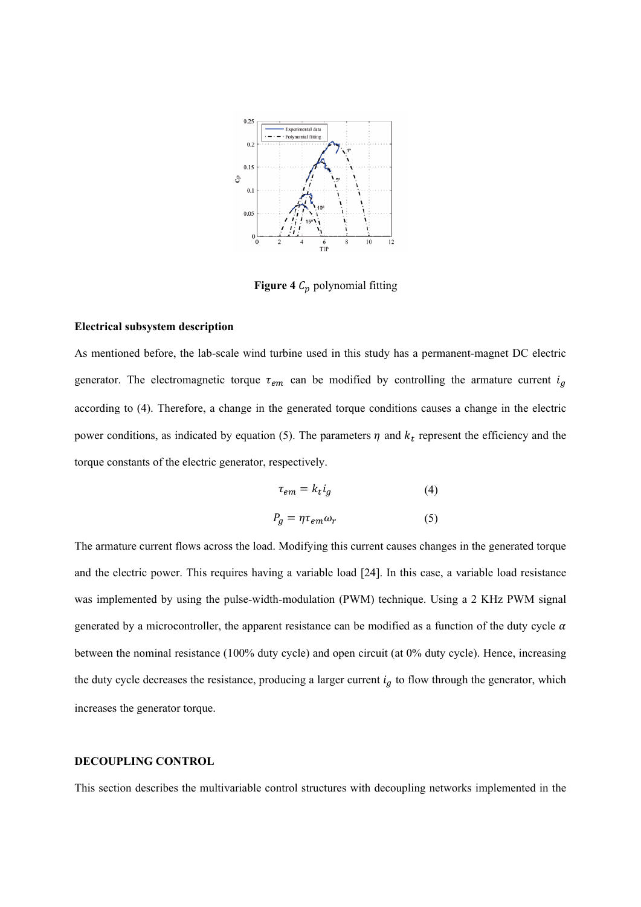

**Figure 4**  $C_p$  polynomial fitting

#### **Electrical subsystem description**

As mentioned before, the lab-scale wind turbine used in this study has a permanent-magnet DC electric generator. The electromagnetic torque  $\tau_{em}$  can be modified by controlling the armature current  $i_g$ according to (4). Therefore, a change in the generated torque conditions causes a change in the electric power conditions, as indicated by equation (5). The parameters  $\eta$  and  $k_t$  represent the efficiency and the torque constants of the electric generator, respectively.

$$
\tau_{em} = k_t i_g \tag{4}
$$

$$
P_g = \eta \tau_{em} \omega_r \tag{5}
$$

The armature current flows across the load. Modifying this current causes changes in the generated torque and the electric power. This requires having a variable load [24]. In this case, a variable load resistance was implemented by using the pulse-width-modulation (PWM) technique. Using a 2 KHz PWM signal generated by a microcontroller, the apparent resistance can be modified as a function of the duty cycle  $\alpha$ between the nominal resistance (100% duty cycle) and open circuit (at 0% duty cycle). Hence, increasing the duty cycle decreases the resistance, producing a larger current  $i<sub>g</sub>$  to flow through the generator, which increases the generator torque.

### **DECOUPLING CONTROL**

This section describes the multivariable control structures with decoupling networks implemented in the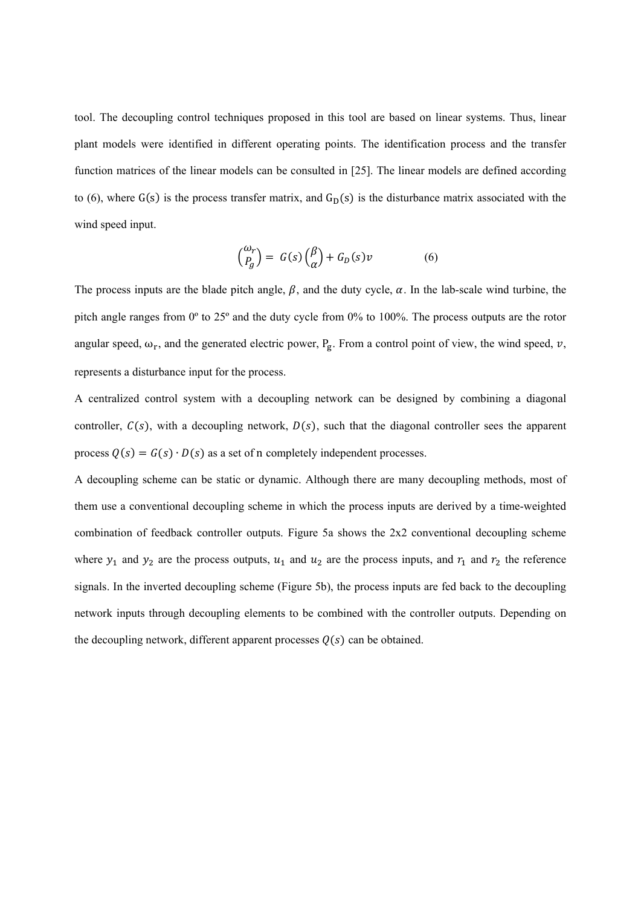tool. The decoupling control techniques proposed in this tool are based on linear systems. Thus, linear plant models were identified in different operating points. The identification process and the transfer function matrices of the linear models can be consulted in [25]. The linear models are defined according to (6), where  $G(s)$  is the process transfer matrix, and  $G<sub>D</sub>(s)$  is the disturbance matrix associated with the wind speed input.

$$
\binom{\omega_r}{P_g} = G(s)\binom{\beta}{\alpha} + G_D(s)\nu \tag{6}
$$

The process inputs are the blade pitch angle,  $\beta$ , and the duty cycle,  $\alpha$ . In the lab-scale wind turbine, the pitch angle ranges from 0º to 25º and the duty cycle from 0% to 100%. The process outputs are the rotor angular speed,  $\omega_r$ , and the generated electric power, P<sub>g</sub>. From a control point of view, the wind speed, v, represents a disturbance input for the process.

A centralized control system with a decoupling network can be designed by combining a diagonal controller,  $C(s)$ , with a decoupling network,  $D(s)$ , such that the diagonal controller sees the apparent process  $Q(s) = G(s) \cdot D(s)$  as a set of n completely independent processes.

A decoupling scheme can be static or dynamic. Although there are many decoupling methods, most of them use a conventional decoupling scheme in which the process inputs are derived by a time-weighted combination of feedback controller outputs. Figure 5a shows the 2x2 conventional decoupling scheme where  $y_1$  and  $y_2$  are the process outputs,  $u_1$  and  $u_2$  are the process inputs, and  $r_1$  and  $r_2$  the reference signals. In the inverted decoupling scheme (Figure 5b), the process inputs are fed back to the decoupling network inputs through decoupling elements to be combined with the controller outputs. Depending on the decoupling network, different apparent processes  $Q(s)$  can be obtained.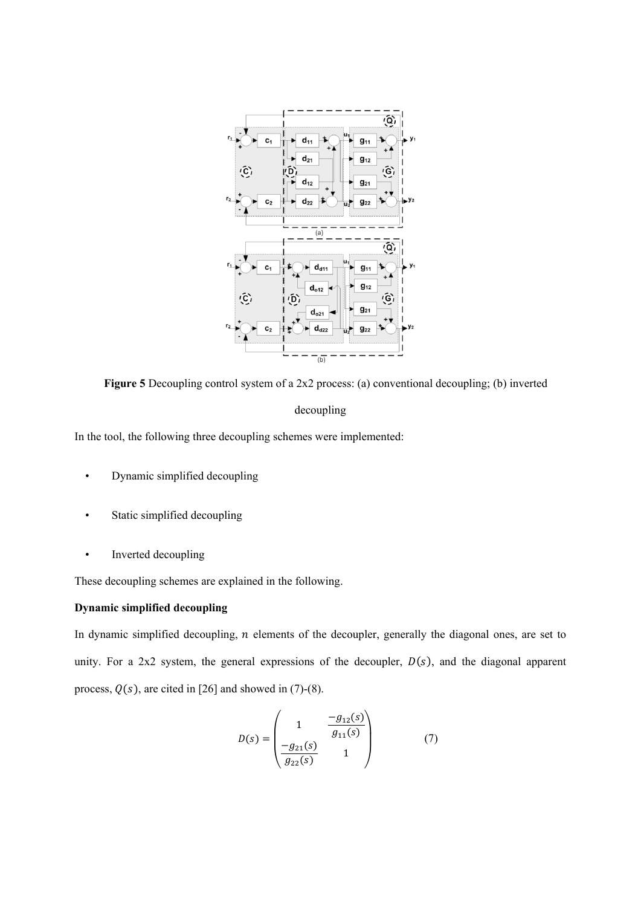

**Figure 5** Decoupling control system of a 2x2 process: (a) conventional decoupling; (b) inverted decoupling

In the tool, the following three decoupling schemes were implemented:

- Dynamic simplified decoupling
- Static simplified decoupling
- Inverted decoupling

These decoupling schemes are explained in the following.

# **Dynamic simplified decoupling**

In dynamic simplified decoupling,  $n$  elements of the decoupler, generally the diagonal ones, are set to unity. For a 2x2 system, the general expressions of the decoupler,  $D(s)$ , and the diagonal apparent process,  $Q(s)$ , are cited in [26] and showed in (7)-(8).

$$
D(s) = \begin{pmatrix} 1 & \frac{-g_{12}(s)}{g_{11}(s)} \\ \frac{-g_{21}(s)}{g_{22}(s)} & 1 \end{pmatrix}
$$
 (7)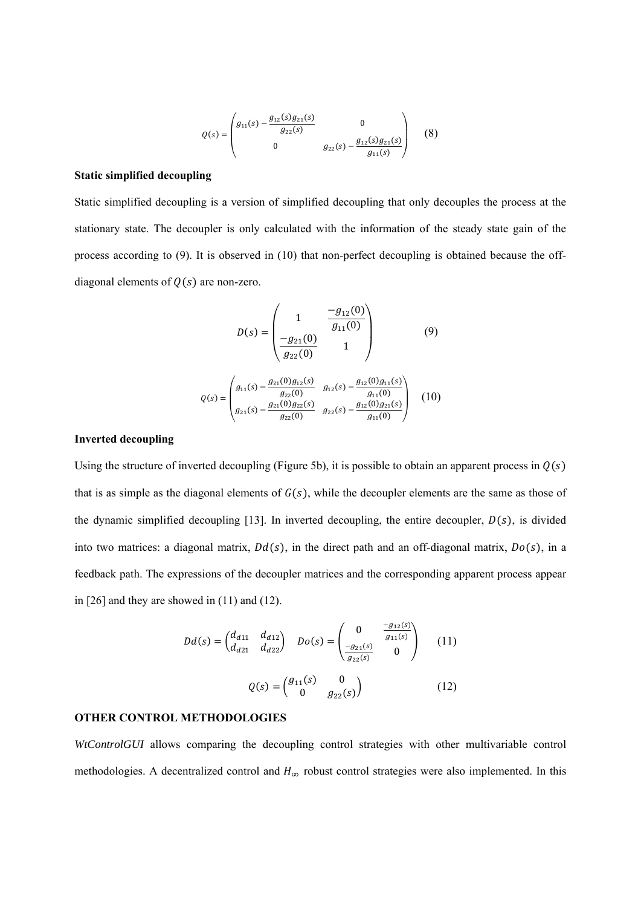$$
Q(s) = \begin{pmatrix} g_{11}(s) - \frac{g_{12}(s)g_{21}(s)}{g_{22}(s)} & 0\\ 0 & g_{22}(s) - \frac{g_{12}(s)g_{21}(s)}{g_{11}(s)} \end{pmatrix}
$$
 (8)

#### **Static simplified decoupling**

Static simplified decoupling is a version of simplified decoupling that only decouples the process at the stationary state. The decoupler is only calculated with the information of the steady state gain of the process according to (9). It is observed in (10) that non-perfect decoupling is obtained because the offdiagonal elements of  $Q(s)$  are non-zero.

$$
D(s) = \begin{pmatrix} 1 & \frac{-g_{12}(0)}{g_{11}(0)} \\ \frac{-g_{21}(0)}{g_{22}(0)} & 1 \end{pmatrix}
$$
(9)

$$
Q(s) = \begin{pmatrix} g_{11}(s) - \frac{g_{21}(0)g_{12}(s)}{g_{22}(0)} & g_{12}(s) - \frac{g_{12}(0)g_{11}(s)}{g_{11}(0)} \\ g_{21}(s) - \frac{g_{21}(0)g_{22}(s)}{g_{22}(0)} & g_{22}(s) - \frac{g_{12}(0)g_{21}(s)}{g_{11}(0)} \end{pmatrix}
$$
 (10)

## **Inverted decoupling**

Using the structure of inverted decoupling (Figure 5b), it is possible to obtain an apparent process in  $Q(s)$ that is as simple as the diagonal elements of  $G(s)$ , while the decoupler elements are the same as those of the dynamic simplified decoupling [13]. In inverted decoupling, the entire decoupler,  $D(s)$ , is divided into two matrices: a diagonal matrix,  $Dd(s)$ , in the direct path and an off-diagonal matrix,  $Do(s)$ , in a feedback path. The expressions of the decoupler matrices and the corresponding apparent process appear in [26] and they are showed in (11) and (12).

$$
Dd(s) = \begin{pmatrix} d_{d11} & d_{d12} \\ d_{d21} & d_{d22} \end{pmatrix} \quad Do(s) = \begin{pmatrix} 0 & \frac{-g_{12}(s)}{g_{11}(s)} \\ \frac{-g_{21}(s)}{g_{22}(s)} & 0 \end{pmatrix} \quad (11)
$$

$$
Q(s) = \begin{pmatrix} g_{11}(s) & 0 \\ 0 & g_{22}(s) \end{pmatrix} \quad (12)
$$

## **OTHER CONTROL METHODOLOGIES**

*WtControlGUI* allows comparing the decoupling control strategies with other multivariable control methodologies. A decentralized control and  $H_{\infty}$  robust control strategies were also implemented. In this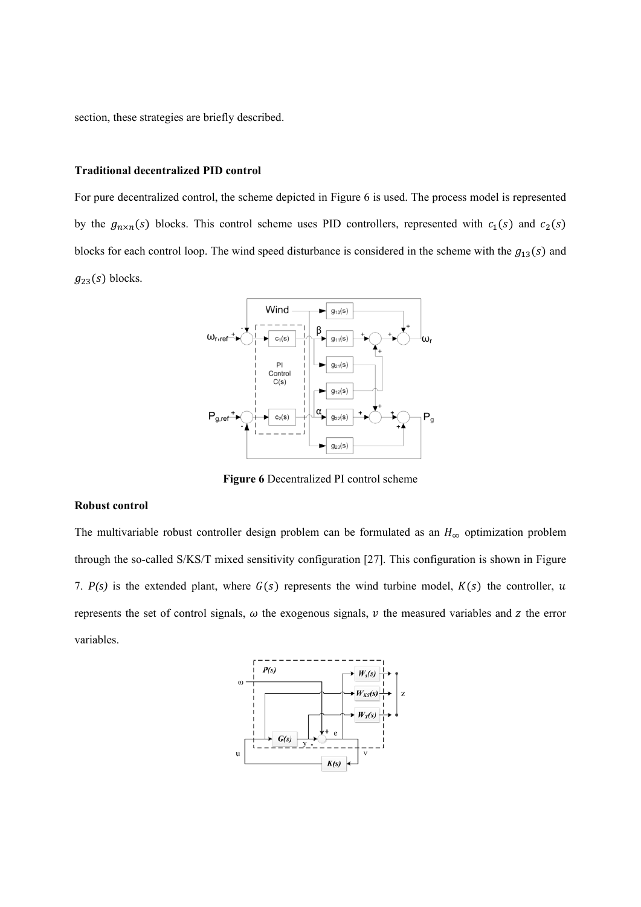section, these strategies are briefly described.

## **Traditional decentralized PID control**

For pure decentralized control, the scheme depicted in Figure 6 is used. The process model is represented by the  $g_{n \times n}(s)$  blocks. This control scheme uses PID controllers, represented with  $c_1(s)$  and  $c_2(s)$ blocks for each control loop. The wind speed disturbance is considered in the scheme with the  $g_{13}(s)$  and  $g_{23}(s)$  blocks.



**Figure 6** Decentralized PI control scheme

# **Robust control**

The multivariable robust controller design problem can be formulated as an  $H_{\infty}$  optimization problem through the so-called S/KS/T mixed sensitivity configuration [27]. This configuration is shown in Figure 7.  $P(s)$  is the extended plant, where  $G(s)$  represents the wind turbine model,  $K(s)$  the controller, u represents the set of control signals,  $\omega$  the exogenous signals,  $\nu$  the measured variables and  $z$  the error variables.

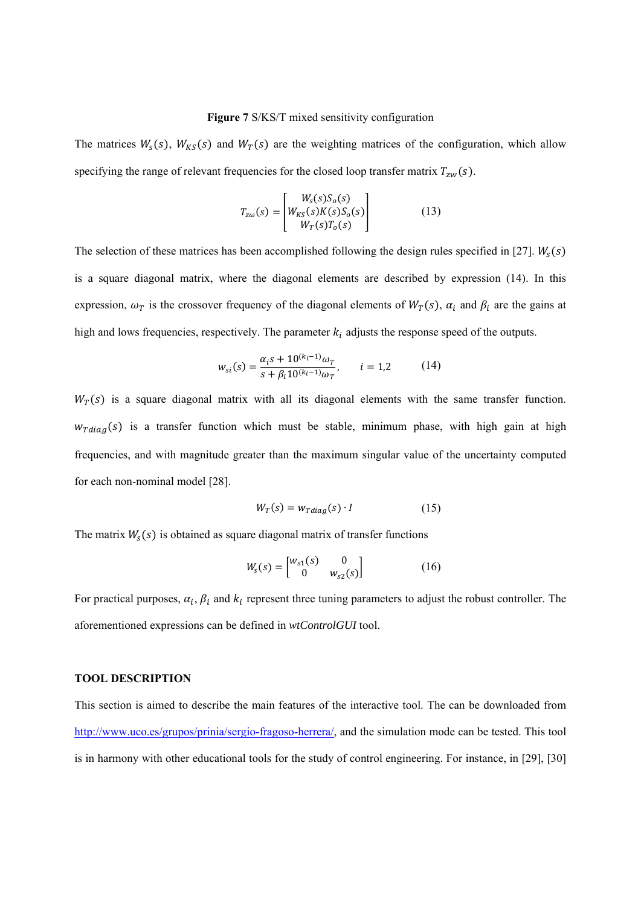#### **Figure 7** S/KS/T mixed sensitivity configuration

The matrices  $W_s(s)$ ,  $W_{KS}(s)$  and  $W_T(s)$  are the weighting matrices of the configuration, which allow specifying the range of relevant frequencies for the closed loop transfer matrix  $T_{zw}(s)$ .

$$
T_{z\omega}(s) = \begin{bmatrix} W_s(s)S_o(s) \\ W_{KS}(s)K(s)S_o(s) \\ W_T(s)T_o(s) \end{bmatrix}
$$
 (13)

The selection of these matrices has been accomplished following the design rules specified in [27].  $W_s(s)$ is a square diagonal matrix, where the diagonal elements are described by expression (14). In this expression,  $\omega_T$  is the crossover frequency of the diagonal elements of  $W_T(s)$ ,  $\alpha_i$  and  $\beta_i$  are the gains at high and lows frequencies, respectively. The parameter  $k_i$  adjusts the response speed of the outputs.

$$
w_{si}(s) = \frac{\alpha_i s + 10^{(k_i - 1)} \omega_T}{s + \beta_i 10^{(k_i - 1)} \omega_T}, \qquad i = 1, 2 \tag{14}
$$

 $W_T(s)$  is a square diagonal matrix with all its diagonal elements with the same transfer function.  $w_{Tdiag}(s)$  is a transfer function which must be stable, minimum phase, with high gain at high frequencies, and with magnitude greater than the maximum singular value of the uncertainty computed for each non-nominal model [28].

$$
W_T(s) = w_{Tdiag}(s) \cdot I \tag{15}
$$

The matrix  $W_s(s)$  is obtained as square diagonal matrix of transfer functions

$$
W_s(s) = \begin{bmatrix} w_{s1}(s) & 0\\ 0 & w_{s2}(s) \end{bmatrix}
$$
 (16)

For practical purposes,  $\alpha_i$ ,  $\beta_i$  and  $k_i$  represent three tuning parameters to adjust the robust controller. The aforementioned expressions can be defined in *wtControlGUI* tool.

### **TOOL DESCRIPTION**

This section is aimed to describe the main features of the interactive tool. The can be downloaded from http://www.uco.es/grupos/prinia/sergio-fragoso-herrera/, and the simulation mode can be tested. This tool is in harmony with other educational tools for the study of control engineering. For instance, in [29], [30]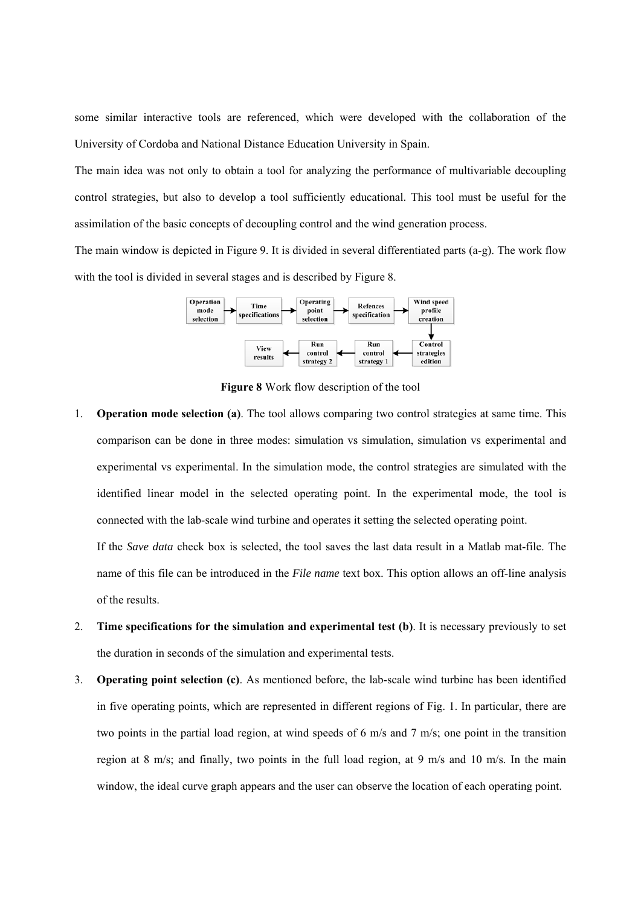some similar interactive tools are referenced, which were developed with the collaboration of the University of Cordoba and National Distance Education University in Spain.

The main idea was not only to obtain a tool for analyzing the performance of multivariable decoupling control strategies, but also to develop a tool sufficiently educational. This tool must be useful for the assimilation of the basic concepts of decoupling control and the wind generation process.

The main window is depicted in Figure 9. It is divided in several differentiated parts (a-g). The work flow with the tool is divided in several stages and is described by Figure 8.



**Figure 8** Work flow description of the tool

1. **Operation mode selection (a)**. The tool allows comparing two control strategies at same time. This comparison can be done in three modes: simulation vs simulation, simulation vs experimental and experimental vs experimental. In the simulation mode, the control strategies are simulated with the identified linear model in the selected operating point. In the experimental mode, the tool is connected with the lab-scale wind turbine and operates it setting the selected operating point.

If the *Save data* check box is selected, the tool saves the last data result in a Matlab mat-file. The name of this file can be introduced in the *File name* text box. This option allows an off-line analysis of the results.

- 2. **Time specifications for the simulation and experimental test (b)**. It is necessary previously to set the duration in seconds of the simulation and experimental tests.
- 3. **Operating point selection (c)**. As mentioned before, the lab-scale wind turbine has been identified in five operating points, which are represented in different regions of Fig. 1. In particular, there are two points in the partial load region, at wind speeds of 6 m/s and 7 m/s; one point in the transition region at 8 m/s; and finally, two points in the full load region, at 9 m/s and 10 m/s. In the main window, the ideal curve graph appears and the user can observe the location of each operating point.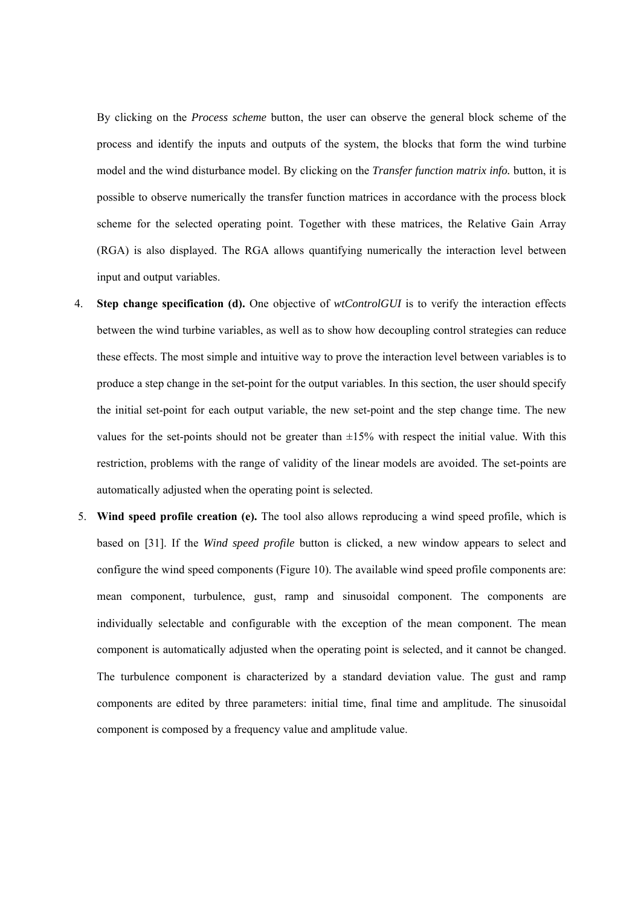By clicking on the *Process scheme* button, the user can observe the general block scheme of the process and identify the inputs and outputs of the system, the blocks that form the wind turbine model and the wind disturbance model. By clicking on the *Transfer function matrix info.* button, it is possible to observe numerically the transfer function matrices in accordance with the process block scheme for the selected operating point. Together with these matrices, the Relative Gain Array (RGA) is also displayed. The RGA allows quantifying numerically the interaction level between input and output variables.

- 4. **Step change specification (d).** One objective of *wtControlGUI* is to verify the interaction effects between the wind turbine variables, as well as to show how decoupling control strategies can reduce these effects. The most simple and intuitive way to prove the interaction level between variables is to produce a step change in the set-point for the output variables. In this section, the user should specify the initial set-point for each output variable, the new set-point and the step change time. The new values for the set-points should not be greater than  $\pm 15\%$  with respect the initial value. With this restriction, problems with the range of validity of the linear models are avoided. The set-points are automatically adjusted when the operating point is selected.
- 5. **Wind speed profile creation (e).** The tool also allows reproducing a wind speed profile, which is based on [31]. If the *Wind speed profile* button is clicked, a new window appears to select and configure the wind speed components (Figure 10). The available wind speed profile components are: mean component, turbulence, gust, ramp and sinusoidal component. The components are individually selectable and configurable with the exception of the mean component. The mean component is automatically adjusted when the operating point is selected, and it cannot be changed. The turbulence component is characterized by a standard deviation value. The gust and ramp components are edited by three parameters: initial time, final time and amplitude. The sinusoidal component is composed by a frequency value and amplitude value.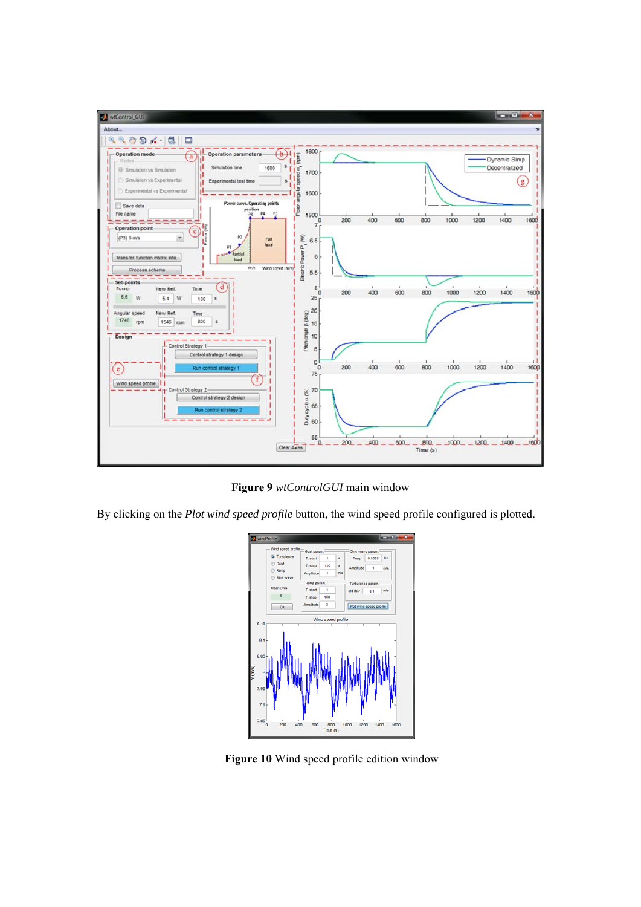

**Figure 9** *wtControlGUI* main window

By clicking on the *Plot wind speed profile* button, the wind speed profile configured is plotted.



**Figure 10** Wind speed profile edition window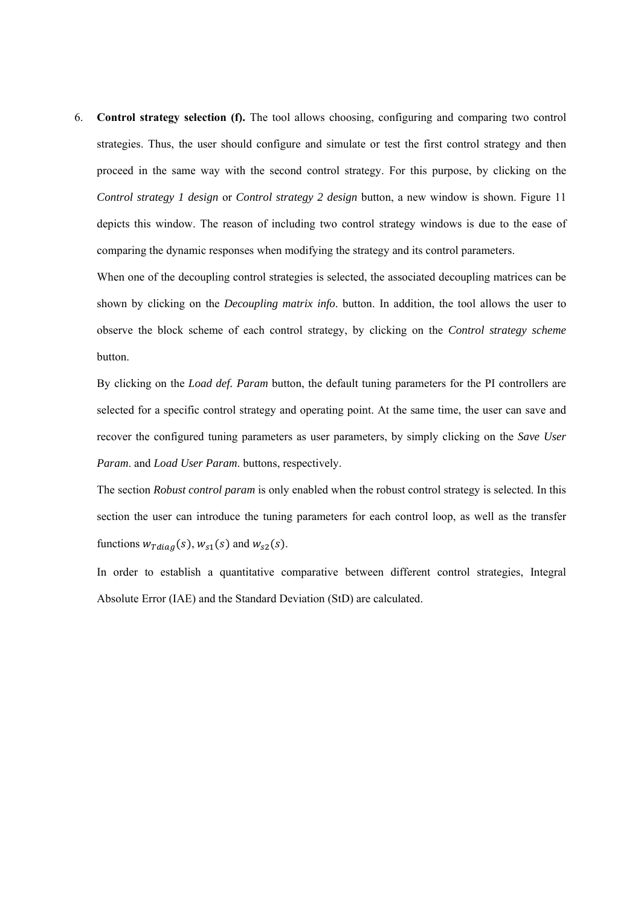6. **Control strategy selection (f).** The tool allows choosing, configuring and comparing two control strategies. Thus, the user should configure and simulate or test the first control strategy and then proceed in the same way with the second control strategy. For this purpose, by clicking on the *Control strategy 1 design* or *Control strategy 2 design* button, a new window is shown. Figure 11 depicts this window. The reason of including two control strategy windows is due to the ease of comparing the dynamic responses when modifying the strategy and its control parameters.

When one of the decoupling control strategies is selected, the associated decoupling matrices can be shown by clicking on the *Decoupling matrix info*. button. In addition, the tool allows the user to observe the block scheme of each control strategy, by clicking on the *Control strategy scheme* button.

By clicking on the *Load def. Param* button, the default tuning parameters for the PI controllers are selected for a specific control strategy and operating point. At the same time, the user can save and recover the configured tuning parameters as user parameters, by simply clicking on the *Save User Param*. and *Load User Param*. buttons, respectively.

The section *Robust control param* is only enabled when the robust control strategy is selected. In this section the user can introduce the tuning parameters for each control loop, as well as the transfer functions  $w_{Tdiag}(s)$ ,  $w_{s1}(s)$  and  $w_{s2}(s)$ .

In order to establish a quantitative comparative between different control strategies, Integral Absolute Error (IAE) and the Standard Deviation (StD) are calculated.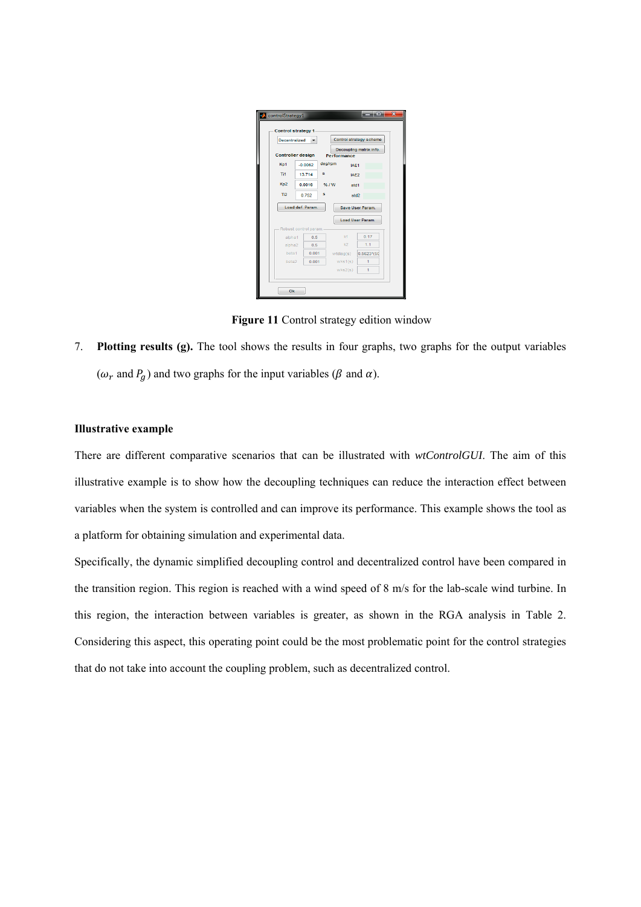|                      | <b>Control strategy 1</b> |         |                    |                         |
|----------------------|---------------------------|---------|--------------------|-------------------------|
| <b>Decentralized</b> |                           |         |                    | Control strategy scheme |
|                      | <b>Controller design</b>  |         |                    | Decoupling matrix info. |
|                      |                           |         | <b>Performance</b> |                         |
| Kp1                  | $-0.0062$                 | deg/rpm | IAE1               |                         |
| Ti1                  | 13.714                    | s       | IAE2               |                         |
| Kp2                  | 0.0016                    | % / W   | std1               |                         |
| Ti <sub>2</sub>      | 0.752                     | s       | std <sub>2</sub>   |                         |
|                      | Load def. Param.          |         |                    | Save User Param.        |
|                      |                           |         |                    | <b>Load User Param.</b> |
|                      | Robust control param.     |         |                    |                         |
| alpha1               | 0.5                       |         | k4                 | 0.17                    |
| alpha <sub>2</sub>   | 0.5                       |         | k2                 | 1.1                     |
| beta1                | 0.001                     |         | wtdiag(s)          | 0.5623*(50              |
| beta <sub>2</sub>    | 0.001                     |         | wks1(s)            | 1                       |
|                      |                           |         | wks2(s)            | $\overline{1}$          |

**Figure 11** Control strategy edition window

7. **Plotting results (g).** The tool shows the results in four graphs, two graphs for the output variables ( $\omega_r$  and  $P_g$ ) and two graphs for the input variables ( $\beta$  and  $\alpha$ ).

#### **Illustrative example**

There are different comparative scenarios that can be illustrated with *wtControlGUI*. The aim of this illustrative example is to show how the decoupling techniques can reduce the interaction effect between variables when the system is controlled and can improve its performance. This example shows the tool as a platform for obtaining simulation and experimental data.

Specifically, the dynamic simplified decoupling control and decentralized control have been compared in the transition region. This region is reached with a wind speed of 8 m/s for the lab-scale wind turbine. In this region, the interaction between variables is greater, as shown in the RGA analysis in Table 2. Considering this aspect, this operating point could be the most problematic point for the control strategies that do not take into account the coupling problem, such as decentralized control.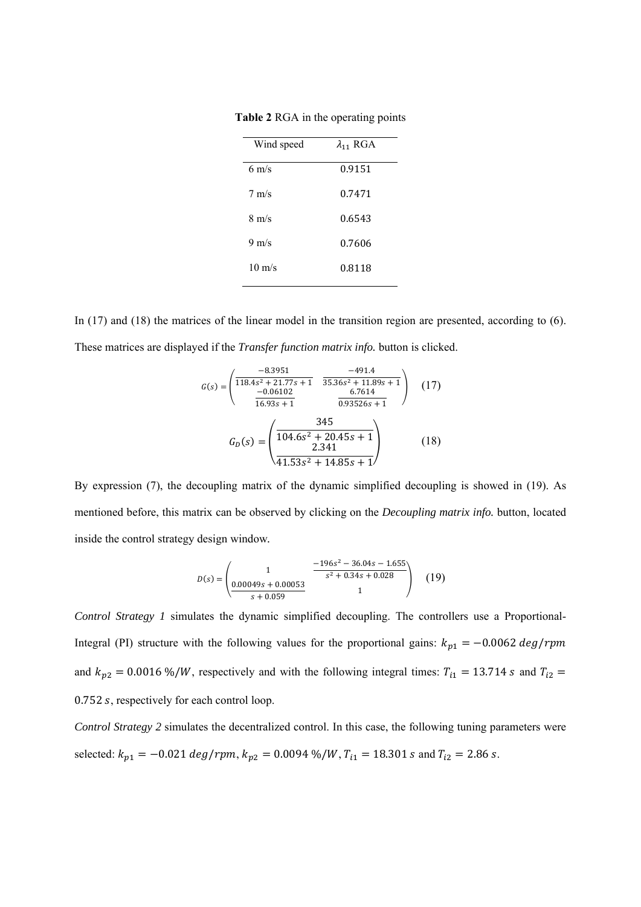| Wind speed       | $\lambda_{11}$ RGA |
|------------------|--------------------|
| $6 \text{ m/s}$  | 0.9151             |
| $7 \text{ m/s}$  | 0.7471             |
| $8 \text{ m/s}$  | 0.6543             |
| $9 \text{ m/s}$  | 0.7606             |
| $10 \text{ m/s}$ | 0.8118             |

**Table 2** RGA in the operating points

In (17) and (18) the matrices of the linear model in the transition region are presented, according to (6). These matrices are displayed if the *Transfer function matrix info.* button is clicked.

$$
G(s) = \begin{pmatrix} -8.3951 & -491.4 \\ \overline{118.4s^2 + 21.77s + 1} & \overline{35.36s^2 + 11.89s + 1} \\ \overline{-0.06402} & 6.7614 \\ \overline{16.93s + 1} & 0.93526s + 1 \end{pmatrix}
$$
 (17)  

$$
G_D(s) = \begin{pmatrix} \overline{345} \\ \overline{104.6s^2 + 20.45s + 1} \\ \overline{2.341} \\ \overline{41.53s^2 + 14.85s + 1} \end{pmatrix}
$$
 (18)

By expression (7), the decoupling matrix of the dynamic simplified decoupling is showed in (19). As mentioned before, this matrix can be observed by clicking on the *Decoupling matrix info.* button, located inside the control strategy design window*.* 

$$
D(s) = \begin{pmatrix} 1 & \frac{-196s^2 - 36.04s - 1.655}{s^2 + 0.34s + 0.028} \\ \frac{0.00049s + 0.00053}{s + 0.059} & 1 \end{pmatrix}
$$
 (19)

*Control Strategy 1* simulates the dynamic simplified decoupling. The controllers use a Proportional-Integral (PI) structure with the following values for the proportional gains:  $k_{p1} = -0.0062 \text{ deg/rpm}$ and  $k_{p2} = 0.0016\% / W$ , respectively and with the following integral times:  $T_{i1} = 13.714$  s and  $T_{i2} =$ 0.752 s, respectively for each control loop.

*Control Strategy 2* simulates the decentralized control. In this case, the following tuning parameters were selected:  $k_{p1} = -0.021 \text{ deg/rpm}$ ,  $k_{p2} = 0.0094 \% / W$ ,  $T_{i1} = 18.301 \text{ s}$  and  $T_{i2} = 2.86 \text{ s}$ .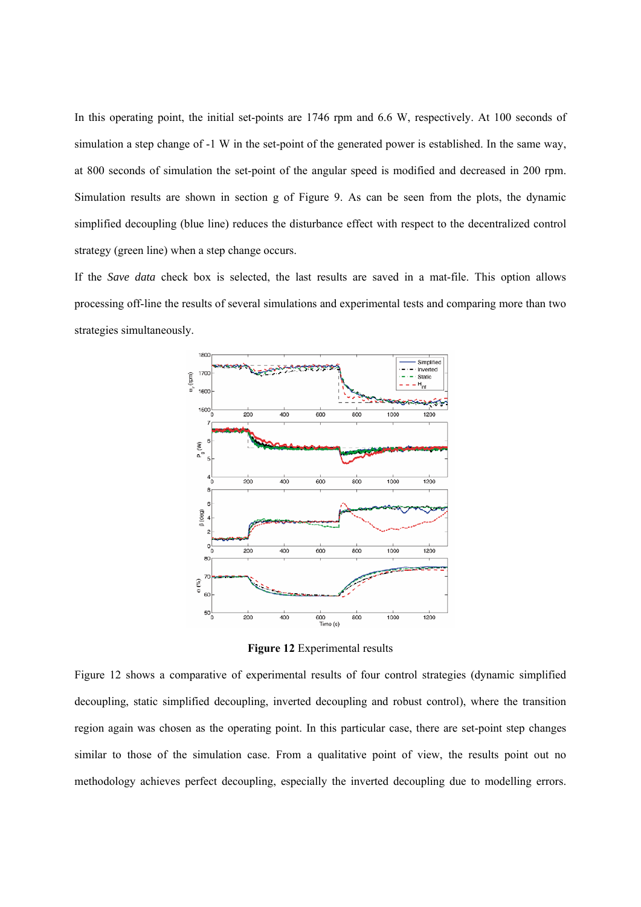In this operating point, the initial set-points are 1746 rpm and 6.6 W, respectively. At 100 seconds of simulation a step change of -1 W in the set-point of the generated power is established. In the same way, at 800 seconds of simulation the set-point of the angular speed is modified and decreased in 200 rpm. Simulation results are shown in section g of Figure 9. As can be seen from the plots, the dynamic simplified decoupling (blue line) reduces the disturbance effect with respect to the decentralized control strategy (green line) when a step change occurs.

If the *Save data* check box is selected, the last results are saved in a mat-file. This option allows processing off-line the results of several simulations and experimental tests and comparing more than two strategies simultaneously.



**Figure 12** Experimental results

Figure 12 shows a comparative of experimental results of four control strategies (dynamic simplified decoupling, static simplified decoupling, inverted decoupling and robust control), where the transition region again was chosen as the operating point. In this particular case, there are set-point step changes similar to those of the simulation case. From a qualitative point of view, the results point out no methodology achieves perfect decoupling, especially the inverted decoupling due to modelling errors.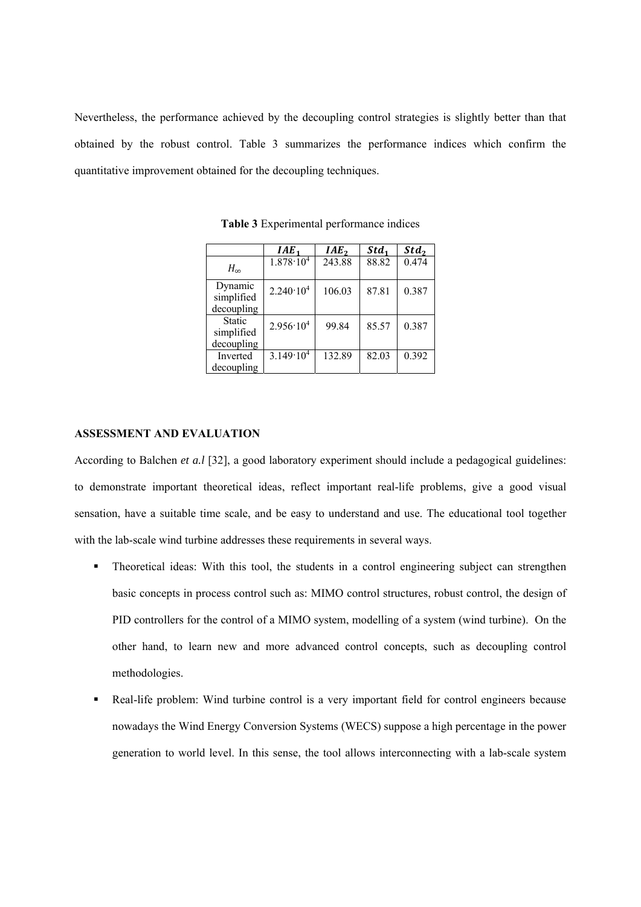Nevertheless, the performance achieved by the decoupling control strategies is slightly better than that obtained by the robust control. Table 3 summarizes the performance indices which confirm the quantitative improvement obtained for the decoupling techniques.

|                                     | IAE <sub>1</sub>     | IAE <sub>2</sub> | Std <sub>1</sub> | Std <sub>2</sub> |
|-------------------------------------|----------------------|------------------|------------------|------------------|
| $H_{\infty}$                        | $1.878 \cdot 10^{4}$ | 243.88           | 88.82            | 0.474            |
| Dynamic<br>simplified<br>decoupling | $2.240 \cdot 10^{4}$ | 106.03           | 87.81            | 0.387            |
| Static<br>simplified<br>decoupling  | $2.956 \cdot 10^{4}$ | 99.84            | 85.57            | 0.387            |
| Inverted<br>decoupling              | $3.149 \cdot 10^{4}$ | 132.89           | 82.03            | 0.392            |

**Table 3** Experimental performance indices

# **ASSESSMENT AND EVALUATION**

According to Balchen *et a.l* [32], a good laboratory experiment should include a pedagogical guidelines: to demonstrate important theoretical ideas, reflect important real-life problems, give a good visual sensation, have a suitable time scale, and be easy to understand and use. The educational tool together with the lab-scale wind turbine addresses these requirements in several ways.

- Theoretical ideas: With this tool, the students in a control engineering subject can strengthen basic concepts in process control such as: MIMO control structures, robust control, the design of PID controllers for the control of a MIMO system, modelling of a system (wind turbine). On the other hand, to learn new and more advanced control concepts, such as decoupling control methodologies.
- Real-life problem: Wind turbine control is a very important field for control engineers because nowadays the Wind Energy Conversion Systems (WECS) suppose a high percentage in the power generation to world level. In this sense, the tool allows interconnecting with a lab-scale system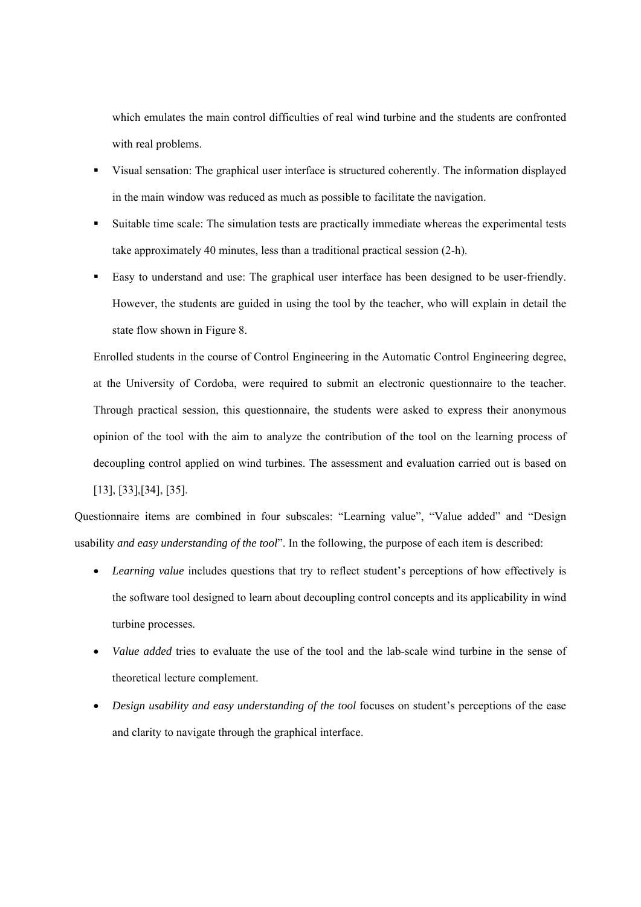which emulates the main control difficulties of real wind turbine and the students are confronted with real problems.

- Visual sensation: The graphical user interface is structured coherently. The information displayed in the main window was reduced as much as possible to facilitate the navigation.
- Suitable time scale: The simulation tests are practically immediate whereas the experimental tests take approximately 40 minutes, less than a traditional practical session (2-h).
- Easy to understand and use: The graphical user interface has been designed to be user-friendly. However, the students are guided in using the tool by the teacher, who will explain in detail the state flow shown in Figure 8.

Enrolled students in the course of Control Engineering in the Automatic Control Engineering degree, at the University of Cordoba, were required to submit an electronic questionnaire to the teacher. Through practical session, this questionnaire, the students were asked to express their anonymous opinion of the tool with the aim to analyze the contribution of the tool on the learning process of decoupling control applied on wind turbines. The assessment and evaluation carried out is based on [13], [33],[34], [35].

Questionnaire items are combined in four subscales: "Learning value", "Value added" and "Design usability *and easy understanding of the tool*". In the following, the purpose of each item is described:

- *Learning value* includes questions that try to reflect student's perceptions of how effectively is the software tool designed to learn about decoupling control concepts and its applicability in wind turbine processes.
- *Value added* tries to evaluate the use of the tool and the lab-scale wind turbine in the sense of theoretical lecture complement.
- *Design usability and easy understanding of the tool* focuses on student's perceptions of the ease and clarity to navigate through the graphical interface.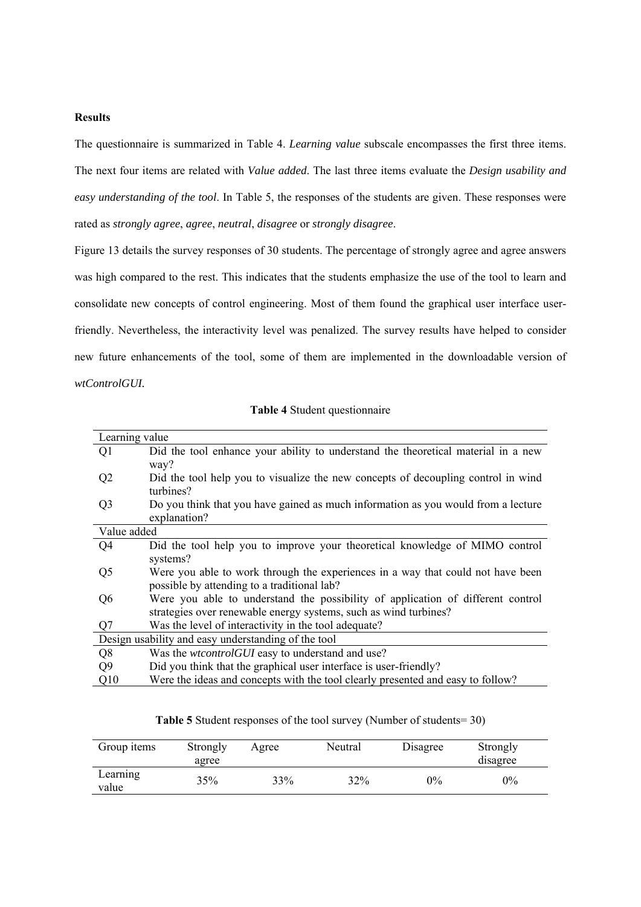#### **Results**

The questionnaire is summarized in Table 4. *Learning value* subscale encompasses the first three items. The next four items are related with *Value added*. The last three items evaluate the *Design usability and easy understanding of the tool*. In Table 5, the responses of the students are given. These responses were rated as *strongly agree*, *agree*, *neutral*, *disagree* or *strongly disagree*.

Figure 13 details the survey responses of 30 students. The percentage of strongly agree and agree answers was high compared to the rest. This indicates that the students emphasize the use of the tool to learn and consolidate new concepts of control engineering. Most of them found the graphical user interface userfriendly. Nevertheless, the interactivity level was penalized. The survey results have helped to consider new future enhancements of the tool, some of them are implemented in the downloadable version of *wtControlGUI.*

| Learning value |                                                                                   |
|----------------|-----------------------------------------------------------------------------------|
| Q1             | Did the tool enhance your ability to understand the theoretical material in a new |
|                | way?                                                                              |
| Q <sub>2</sub> | Did the tool help you to visualize the new concepts of decoupling control in wind |
|                | turbines?                                                                         |
| Q <sub>3</sub> | Do you think that you have gained as much information as you would from a lecture |
|                | explanation?                                                                      |
| Value added    |                                                                                   |
| Q <sub>4</sub> | Did the tool help you to improve your theoretical knowledge of MIMO control       |
|                | systems?                                                                          |
| Q <sub>5</sub> | Were you able to work through the experiences in a way that could not have been   |
|                | possible by attending to a traditional lab?                                       |
| Q <sub>6</sub> | Were you able to understand the possibility of application of different control   |
|                | strategies over renewable energy systems, such as wind turbines?                  |
| Q7             | Was the level of interactivity in the tool adequate?                              |
|                | Design usability and easy understanding of the tool                               |
| Q8             | Was the wtcontrolGUI easy to understand and use?                                  |
| Q <sub>9</sub> | Did you think that the graphical user interface is user-friendly?                 |
| Q10            | Were the ideas and concepts with the tool clearly presented and easy to follow?   |

**Table 4** Student questionnaire

| Group items       | Strongly<br>agree | Agree | Neutral | Disagree | Strongly<br>disagree |  |
|-------------------|-------------------|-------|---------|----------|----------------------|--|
| Learning<br>value | 35%               | 33%   | 32%     | $0\%$    | $0\%$                |  |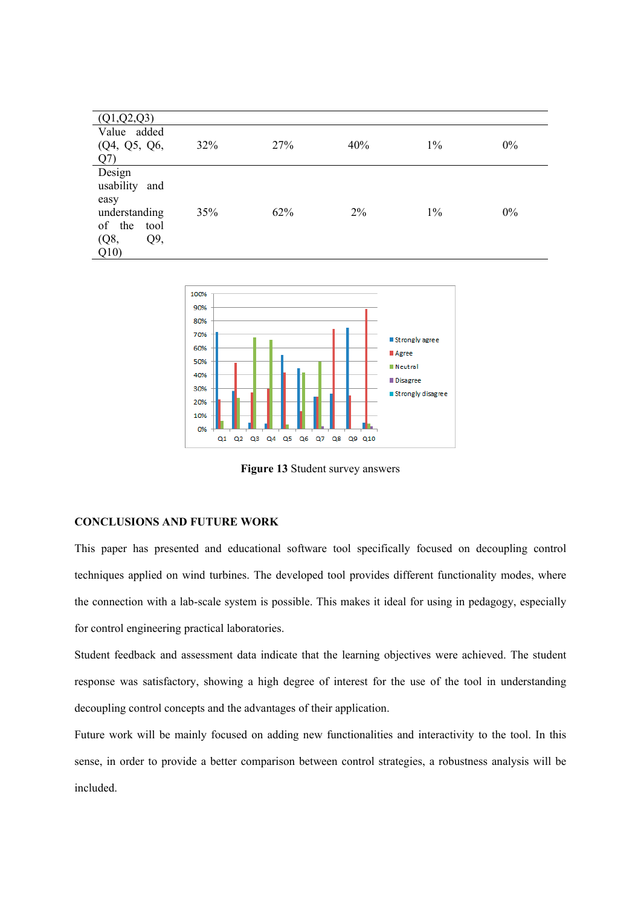| (Q1,Q2,Q3)     |     |     |     |       |    |
|----------------|-----|-----|-----|-------|----|
| Value added    |     |     |     |       |    |
| (Q4, Q5, Q6,   | 32% | 27% | 40% | $1\%$ | 0% |
| Q(7)           |     |     |     |       |    |
| Design         |     |     |     |       |    |
| usability and  |     |     |     |       |    |
| easy           |     |     |     |       |    |
| understanding  | 35% | 62% | 2%  | $1\%$ | 0% |
| of the<br>tool |     |     |     |       |    |
| (Q8,<br>Q9,    |     |     |     |       |    |
| Q10            |     |     |     |       |    |



**Figure 13** Student survey answers

### **CONCLUSIONS AND FUTURE WORK**

This paper has presented and educational software tool specifically focused on decoupling control techniques applied on wind turbines. The developed tool provides different functionality modes, where the connection with a lab-scale system is possible. This makes it ideal for using in pedagogy, especially for control engineering practical laboratories.

Student feedback and assessment data indicate that the learning objectives were achieved. The student response was satisfactory, showing a high degree of interest for the use of the tool in understanding decoupling control concepts and the advantages of their application.

Future work will be mainly focused on adding new functionalities and interactivity to the tool. In this sense, in order to provide a better comparison between control strategies, a robustness analysis will be included.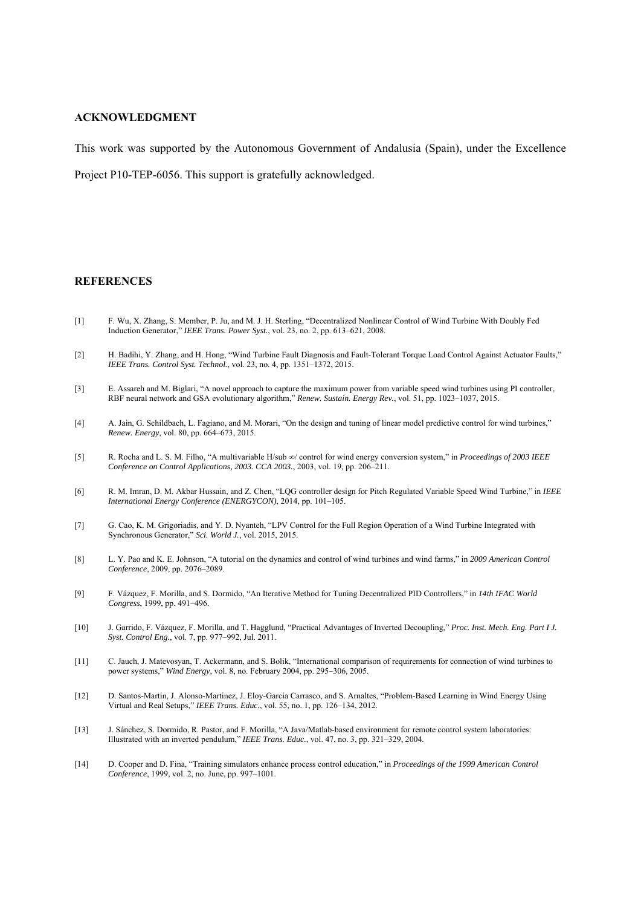#### **ACKNOWLEDGMENT**

This work was supported by the Autonomous Government of Andalusia (Spain), under the Excellence

Project P10-TEP-6056. This support is gratefully acknowledged.

#### **REFERENCES**

- [1] F. Wu, X. Zhang, S. Member, P. Ju, and M. J. H. Sterling, "Decentralized Nonlinear Control of Wind Turbine With Doubly Fed Induction Generator," *IEEE Trans. Power Syst.*, vol. 23, no. 2, pp. 613–621, 2008.
- [2] H. Badihi, Y. Zhang, and H. Hong, "Wind Turbine Fault Diagnosis and Fault-Tolerant Torque Load Control Against Actuator Faults," *IEEE Trans. Control Syst. Technol.*, vol. 23, no. 4, pp. 1351–1372, 2015.
- [3] E. Assareh and M. Biglari, "A novel approach to capture the maximum power from variable speed wind turbines using PI controller, RBF neural network and GSA evolutionary algorithm," *Renew. Sustain. Energy Rev.*, vol. 51, pp. 1023–1037, 2015.
- [4] A. Jain, G. Schildbach, L. Fagiano, and M. Morari, "On the design and tuning of linear model predictive control for wind turbines," *Renew. Energy*, vol. 80, pp. 664–673, 2015.
- [5] R. Rocha and L. S. M. Filho, "A multivariable H/sub ∞/ control for wind energy conversion system," in *Proceedings of 2003 IEEE Conference on Control Applications, 2003. CCA 2003.*, 2003, vol. 19, pp. 206–211.
- [6] R. M. Imran, D. M. Akbar Hussain, and Z. Chen, "LQG controller design for Pitch Regulated Variable Speed Wind Turbine," in *IEEE International Energy Conference (ENERGYCON)*, 2014, pp. 101–105.
- [7] G. Cao, K. M. Grigoriadis, and Y. D. Nyanteh, "LPV Control for the Full Region Operation of a Wind Turbine Integrated with Synchronous Generator," *Sci. World J.*, vol. 2015, 2015.
- [8] L. Y. Pao and K. E. Johnson, "A tutorial on the dynamics and control of wind turbines and wind farms," in *2009 American Control Conference*, 2009, pp. 2076–2089.
- [9] F. Vázquez, F. Morilla, and S. Dormido, "An Iterative Method for Tuning Decentralized PID Controllers," in *14th IFAC World Congress*, 1999, pp. 491–496.
- [10] J. Garrido, F. Vázquez, F. Morilla, and T. Hagglund, "Practical Advantages of Inverted Decoupling," *Proc. Inst. Mech. Eng. Part I J. Syst. Control Eng.*, vol. 7, pp. 977–992, Jul. 2011.
- [11] C. Jauch, J. Matevosyan, T. Ackermann, and S. Bolik, "International comparison of requirements for connection of wind turbines to power systems," *Wind Energy*, vol. 8, no. February 2004, pp. 295–306, 2005.
- [12] D. Santos-Martin, J. Alonso-Martinez, J. Eloy-Garcia Carrasco, and S. Arnaltes, "Problem-Based Learning in Wind Energy Using Virtual and Real Setups," *IEEE Trans. Educ.*, vol. 55, no. 1, pp. 126–134, 2012.
- [13] J. Sánchez, S. Dormido, R. Pastor, and F. Morilla, "A Java/Matlab-based environment for remote control system laboratories: Illustrated with an inverted pendulum," *IEEE Trans. Educ.*, vol. 47, no. 3, pp. 321–329, 2004.
- [14] D. Cooper and D. Fina, "Training simulators enhance process control education," in *Proceedings of the 1999 American Control Conference*, 1999, vol. 2, no. June, pp. 997–1001.